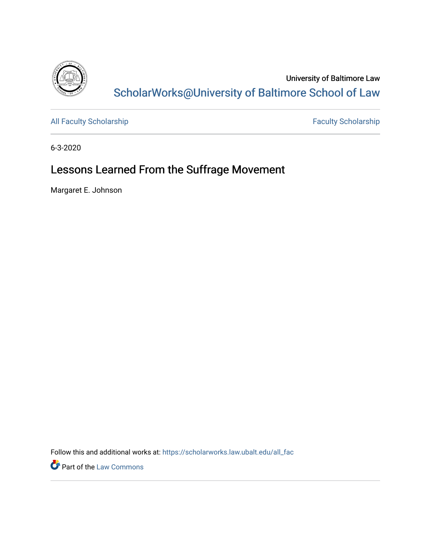

University of Baltimore Law [ScholarWorks@University of Baltimore School of Law](https://scholarworks.law.ubalt.edu/) 

[All Faculty Scholarship](https://scholarworks.law.ubalt.edu/all_fac) [Faculty Scholarship](https://scholarworks.law.ubalt.edu/faculty) Faculty Scholarship

6-3-2020

# Lessons Learned From the Suffrage Movement

Margaret E. Johnson

Follow this and additional works at: [https://scholarworks.law.ubalt.edu/all\\_fac](https://scholarworks.law.ubalt.edu/all_fac?utm_source=scholarworks.law.ubalt.edu%2Fall_fac%2F1105&utm_medium=PDF&utm_campaign=PDFCoverPages)

**Part of the [Law Commons](http://network.bepress.com/hgg/discipline/578?utm_source=scholarworks.law.ubalt.edu%2Fall_fac%2F1105&utm_medium=PDF&utm_campaign=PDFCoverPages)**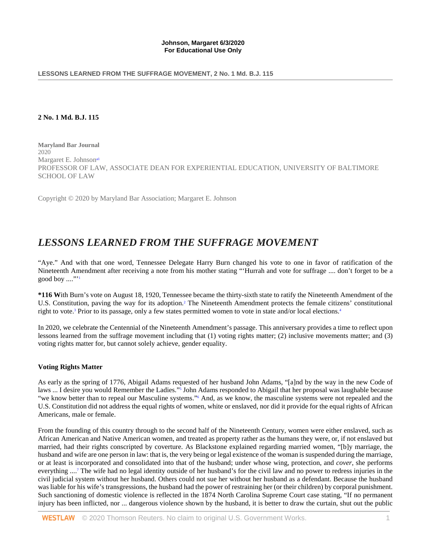#### LESSONS LEARNED FROM THE SUFFRAGE MOVEMENT, 2 No. 1 Md. B.J. 115

## **2 No. 1 Md. B.J. 115**

<span id="page-1-0"></span>**Maryland Bar Journal** 2020 Margaret E. Johnson<sup>a1</sup> PROFESSOR OF LAW, ASSOCIATE DEAN FOR EXPERIENTIAL EDUCATION, UNIVERSITY OF BALTIMORE SCHOOL OF LAW

Copyright © 2020 by Maryland Bar Association; Margaret E. Johnson

# *LESSONS LEARNED FROM THE SUFFRAGE MOVEMENT*

<span id="page-1-1"></span>"Aye." And with that one word, Tennessee Delegate Harry Burn changed his vote to one in favor of ratification of the Nineteenth Amendment after receiving a note from his mother stating "'Hurrah and vote for suffrage .... don't forget to be a good boy  $\ldots$ "

<span id="page-1-4"></span><span id="page-1-3"></span><span id="page-1-2"></span>**\*116 W**ith Burn's vote on August 18, 1920, Tennessee became the thirty-sixth state to ratify the Nineteenth Amendment of the U.S. Constitution, paving the way for its adoption[.2](#page-4-2) The Nineteenth Amendment protects the female citizens' constitutional right to vote.<sup>3</sup> Prior to its passage, only a few states permitted women to vote in state and/or local elections.<sup>4</sup>

In 2020, we celebrate the Centennial of the Nineteenth Amendment's passage. This anniversary provides a time to reflect upon lessons learned from the suffrage movement including that (1) voting rights matter; (2) inclusive movements matter; and (3) voting rights matter for, but cannot solely achieve, gender equality.

# **Voting Rights Matter**

<span id="page-1-6"></span><span id="page-1-5"></span>As early as the spring of 1776, Abigail Adams requested of her husband John Adams, "[a]nd by the way in the new Code of laws ... I desire you would Remember the Ladies.["5](#page-4-5) John Adams responded to Abigail that her proposal was laughable because "we know better than to repeal our Masculine systems.["6](#page-5-0) And, as we know, the masculine systems were not repealed and the U.S. Constitution did not address the equal rights of women, white or enslaved, nor did it provide for the equal rights of African Americans, male or female.

<span id="page-1-7"></span>From the founding of this country through to the second half of the Nineteenth Century, women were either enslaved, such as African American and Native American women, and treated as property rather as the humans they were, or, if not enslaved but married, had their rights conscripted by coverture. As Blackstone explained regarding married women, "[b]y marriage, the husband and wife are one person in law: that is, the very being or legal existence of the woman is suspended during the marriage, or at least is incorporated and consolidated into that of the husband; under whose wing, protection, and *cover*, she performs everything ....<sup>7</sup> The wife had no legal identity outside of her husband's for the civil law and no power to redress injuries in the civil judicial system without her husband. Others could not sue her without her husband as a defendant. Because the husband was liable for his wife's transgressions, the husband had the power of restraining her (or their children) by corporal punishment. Such sanctioning of domestic violence is reflected in the 1874 North Carolina Supreme Court case stating, "If no permanent injury has been inflicted, nor ... dangerous violence shown by the husband, it is better to draw the curtain, shut out the public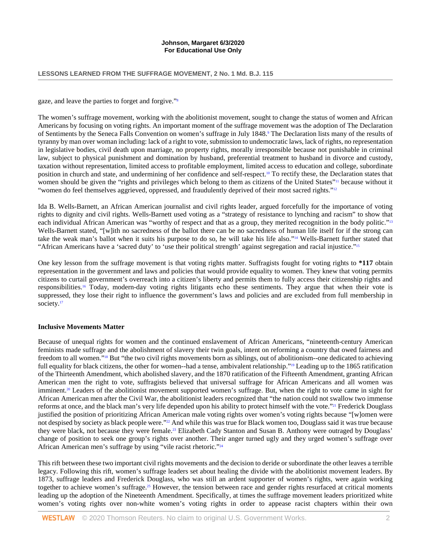#### **LESSONS LEARNED FROM THE SUFFRAGE MOVEMENT, 2 No. 1 Md. B.J. 115**

<span id="page-2-0"></span>gaze, and leave the parties to forget and forgive.["8](#page-5-2)

<span id="page-2-1"></span>The women's suffrage movement, working with the abolitionist movement, sought to change the status of women and African Americans by focusing on voting rights. An important moment of the suffrage movement was the adoption of The Declaration of Sentiments by the Seneca Falls Convention on women's suffrage in July 1848[.9](#page-5-3) The Declaration lists many of the results of tyranny by man over woman including: lack of a right to vote, submission to undemocratic laws, lack of rights, no representation in legislative bodies, civil death upon marriage, no property rights, morally irresponsible because not punishable in criminal law, subject to physical punishment and domination by husband, preferential treatment to husband in divorce and custody, taxation without representation, limited access to profitable employment, limited access to education and college, subordinate position in church and state, and undermining of her confidence and self-respect[.10](#page-5-4) To rectify these, the Declaration states that women should be given the "rights and privileges which belong to them as citizens of the United States["11](#page-5-5) because without it "women do feel themselves aggrieved, oppressed, and fraudulently deprived of their most sacred rights."<sup>12</sup>

<span id="page-2-5"></span><span id="page-2-4"></span><span id="page-2-3"></span><span id="page-2-2"></span>Ida B. Wells-Barnett, an African American journalist and civil rights leader, argued forcefully for the importance of voting rights to dignity and civil rights. Wells-Barnett used voting as a "strategy of resistance to lynching and racism" to show that each individual African American was "worthy of respect and that as a group, they merited recognition in the body politic.["13](#page-5-7) Wells-Barnett stated, "[w]ith no sacredness of the ballot there can be no sacredness of human life itself for if the strong can take the weak man's ballot when it suits his purpose to do so, he will take his life also.["14](#page-5-8) Wells-Barnett further stated that "African Americans have a 'sacred duty' to 'use their political strength' against segregation and racial injustice.["15](#page-5-9)

<span id="page-2-8"></span><span id="page-2-7"></span><span id="page-2-6"></span>One key lesson from the suffrage movement is that voting rights matter. Suffragists fought for voting rights to **\*117** obtain representation in the government and laws and policies that would provide equality to women. They knew that voting permits citizens to curtail government's overreach into a citizen's liberty and permits them to fully access their citizenship rights and responsibilities[.16](#page-5-10) Today, modern-day voting rights litigants echo these sentiments. They argue that when their vote is suppressed, they lose their right to influence the government's laws and policies and are excluded from full membership in society.<sup>17</sup>

#### <span id="page-2-9"></span>**Inclusive Movements Matter**

<span id="page-2-12"></span><span id="page-2-11"></span><span id="page-2-10"></span>Because of unequal rights for women and the continued enslavement of African Americans, "nineteenth-century American feminists made suffrage and the abolishment of slavery their twin goals, intent on reforming a country that owed fairness and freedom to all women.["18](#page-5-12) But "the two civil rights movements born as siblings, out of abolitionism--one dedicated to achieving full equality for black citizens, the other for women--had a tense, ambivalent relationship.["19](#page-5-13) Leading up to the 1865 ratification of the Thirteenth Amendment, which abolished slavery, and the 1870 ratification of the Fifteenth Amendment, granting African American men the right to vote, suffragists believed that universal suffrage for African Americans and all women was imminent[.20](#page-5-14) Leaders of the abolitionist movement supported women's suffrage. But, when the right to vote came in sight for African American men after the Civil War, the abolitionist leaders recognized that "the nation could not swallow two immense reforms at once, and the black man's very life depended upon his ability to protect himself with the vote.["21](#page-6-0) Frederick Douglass justified the position of prioritizing African American male voting rights over women's voting rights because "[w]omen were not despised by society as black people were.["22](#page-6-1) And while this was true for Black women too, Douglass said it was true because they were black, not because they were female[.23](#page-6-2) Elizabeth Cady Stanton and Susan B. Anthony were outraged by Douglass' change of position to seek one group's rights over another. Their anger turned ugly and they urged women's suffrage over African American men's suffrage by using "vile racist rhetoric.["24](#page-6-3)

<span id="page-2-17"></span><span id="page-2-16"></span><span id="page-2-15"></span><span id="page-2-14"></span><span id="page-2-13"></span>This rift between these two important civil rights movements and the decision to deride or subordinate the other leaves a terrible legacy. Following this rift, women's suffrage leaders set about healing the divide with the abolitionist movement leaders. By 1873, suffrage leaders and Frederick Douglass, who was still an ardent supporter of women's rights, were again working together to achieve women's suffrage.<sup>25</sup> However, the tension between race and gender rights resurfaced at critical moments leading up the adoption of the Nineteenth Amendment. Specifically, at times the suffrage movement leaders prioritized white women's voting rights over non-white women's voting rights in order to appease racist chapters within their own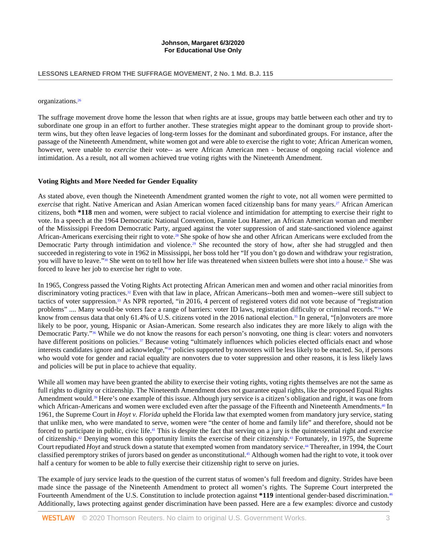#### **LESSONS LEARNED FROM THE SUFFRAGE MOVEMENT, 2 No. 1 Md. B.J. 115**

#### <span id="page-3-0"></span>organizations[.26](#page-6-5)

The suffrage movement drove home the lesson that when rights are at issue, groups may battle between each other and try to subordinate one group in an effort to further another. These strategies might appear to the dominant group to provide shortterm wins, but they often leave legacies of long-term losses for the dominant and subordinated groups. For instance, after the passage of the Nineteenth Amendment, white women got and were able to exercise the right to vote; African American women, however, were unable to *exercise* their vote-- as were African American men - because of ongoing racial violence and intimidation. As a result, not all women achieved true voting rights with the Nineteenth Amendment.

#### **Voting Rights and More Needed for Gender Equality**

<span id="page-3-2"></span><span id="page-3-1"></span>As stated above, even though the Nineteenth Amendment granted women the *right* to vote, not all women were permitted to *exercise* that right. Native American and Asian American women faced citizenship bans for many years.<sup>27</sup> African American citizens, both **\*118** men and women, were subject to racial violence and intimidation for attempting to exercise their right to vote. In a speech at the 1964 Democratic National Convention, Fannie Lou Hamer, an African American woman and member of the Mississippi Freedom Democratic Party, argued against the voter suppression of and state-sanctioned violence against African-Americans exercising their right to vote.<sup>28</sup> She spoke of how she and other African Americans were excluded from the Democratic Party through intimidation and violence.<sup>29</sup> She recounted the story of how, after she had struggled and then succeeded in registering to vote in 1962 in Mississippi, her boss told her "If you don't go down and withdraw your registration, you will have to leave."<sup>30</sup> She went on to tell how her life was threatened when sixteen bullets were shot into a house.<sup>31</sup> She was forced to leave her job to exercise her right to vote.

<span id="page-3-10"></span><span id="page-3-9"></span><span id="page-3-8"></span><span id="page-3-7"></span><span id="page-3-6"></span><span id="page-3-5"></span><span id="page-3-4"></span><span id="page-3-3"></span>In 1965, Congress passed the Voting Rights Act protecting African American men and women and other racial minorities from discriminatory voting practices[.32](#page-6-11) Even with that law in place, African Americans--both men and women--were still subject to tactics of voter suppressio[n.33](#page-6-12) As NPR reported, "in 2016, 4 percent of registered voters did not vote because of "registration problems" .... Many would-be voters face a range of barriers: voter ID laws, registration difficulty or criminal records."<sup>34</sup> We know from census data that only 61.4% of U.S. citizens voted in the 2016 national election.<sup>35</sup> In general, "[n]onvoters are more likely to be poor, young, Hispanic or Asian-American. Some research also indicates they are more likely to align with the Democratic Party.["36](#page-7-0) While we do not know the reasons for each person's nonvoting, one thing is clear: voters and nonvoters have different positions on policies.<sup>37</sup> Because voting "ultimately influences which policies elected officials enact and whose interests candidates ignore and acknowledge,["38](#page-7-2) policies supported by nonvoters will be less likely to be enacted. So, if persons who would vote for gender and racial equality are nonvoters due to voter suppression and other reasons, it is less likely laws and policies will be put in place to achieve that equality.

<span id="page-3-15"></span><span id="page-3-14"></span><span id="page-3-13"></span><span id="page-3-12"></span><span id="page-3-11"></span>While all women may have been granted the ability to exercise their voting rights, voting rights themselves are not the same as full rights to dignity or citizenship. The Nineteenth Amendment does not guarantee equal rights, like the proposed Equal Rights Amendment would.<sup>39</sup> Here's one example of this issue. Although jury service is a citizen's obligation and right, it was one from which African-Americans and women were excluded even after the passage of the Fifteenth and Nineteenth Amendments.<sup>40</sup> In 1961, the Supreme Court in *Hoyt v. Florida* upheld the Florida law that exempted women from mandatory jury service, stating that unlike men, who were mandated to serve, women were "the center of home and family life" and therefore, should not be forced to participate in public, civic life[.41](#page-7-5) This is despite the fact that serving on a jury is the quintessential right and exercise of citizenship[.42](#page-7-6) Denying women this opportunity limits the exercise of their citizenship[.43](#page-7-7) Fortunately, in 1975, the Supreme Court repudiated *Hoyt* and struck down a statute that exempted women from mandatory service[.44](#page-7-8) Thereafter, in 1994, the Court classified peremptory strikes of jurors based on gender as unconstitutional[.45](#page-7-9) Although women had the right to vote, it took over half a century for women to be able to fully exercise their citizenship right to serve on juries.

<span id="page-3-20"></span><span id="page-3-19"></span><span id="page-3-18"></span><span id="page-3-17"></span><span id="page-3-16"></span>The example of jury service leads to the question of the current status of women's full freedom and dignity. Strides have been made since the passage of the Nineteenth Amendment to protect all women's rights. The Supreme Court interpreted the Fourteenth Amendment of the U.S. Constitution to include protection against **\*119** intentional gender-based discrimination[.46](#page-7-10) Additionally, laws protecting against gender discrimination have been passed. Here are a few examples: divorce and custody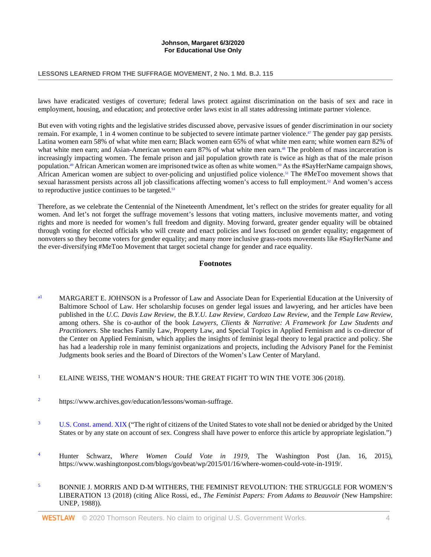#### **LESSONS LEARNED FROM THE SUFFRAGE MOVEMENT, 2 No. 1 Md. B.J. 115**

laws have eradicated vestiges of coverture; federal laws protect against discrimination on the basis of sex and race in employment, housing, and education; and protective order laws exist in all states addressing intimate partner violence.

<span id="page-4-8"></span>But even with voting rights and the legislative strides discussed above, pervasive issues of gender discrimination in our society remain. For example, 1 in 4 women continue to be subjected to severe intimate partner violence[.47](#page-7-11) The gender pay gap persists. Latina women earn 58% of what white men earn; Black women earn 65% of what white men earn; white women earn 82% of what white men earn; and Asian-American women earn 87% of what white men earn.<sup>48</sup> The problem of mass incarceration is increasingly impacting women. The female prison and jail population growth rate is twice as high as that of the male prison population.<sup>49</sup> African American women are imprisoned twice as often as white women.<sup>50</sup> As the #SayHerName campaign shows, African American women are subject to over-policing and unjustified police violence.<sup>51</sup> The #MeToo movement shows that sexual harassment persists across all job classifications affecting women's access to full employment[.52](#page-8-3) And women's access to reproductive justice continues to be targeted.<sup>53</sup>

Therefore, as we celebrate the Centennial of the Nineteenth Amendment, let's reflect on the strides for greater equality for all women. And let's not forget the suffrage movement's lessons that voting matters, inclusive movements matter, and voting rights and more is needed for women's full freedom and dignity. Moving forward, greater gender equality will be obtained through voting for elected officials who will create and enact policies and laws focused on gender equality; engagement of nonvoters so they become voters for gender equality; and many more inclusive grass-roots movements like #SayHerName and the ever-diversifying #MeToo Movement that target societal change for gender and race equality.

# <span id="page-4-12"></span><span id="page-4-11"></span><span id="page-4-10"></span><span id="page-4-9"></span><span id="page-4-7"></span><span id="page-4-6"></span>**Footnotes**

- <span id="page-4-0"></span><sup>[a1](#page-1-0)</sup> MARGARET E. JOHNSON is a Professor of Law and Associate Dean for Experiential Education at the University of Baltimore School of Law. Her scholarship focuses on gender legal issues and lawyering, and her articles have been published in the *U.C. Davis Law Review*, the *B.Y.U. Law Review, Cardozo Law Review*, and the *Temple Law Review*, among others. She is co-author of the book *Lawyers, Clients & Narrative: A Framework for Law Students and Practitioners*. She teaches Family Law, Property Law, and Special Topics in Applied Feminism and is co-director of the Center on Applied Feminism, which applies the insights of feminist legal theory to legal practice and policy. She has had a leadership role in many feminist organizations and projects, including the Advisory Panel for the Feminist Judgments book series and the Board of Directors of the Women's Law Center of Maryland.
- <span id="page-4-1"></span><sup>[1](#page-1-1)</sup> ELAINE WEISS, THE WOMAN'S HOUR: THE GREAT FIGHT TO WIN THE VOTE 306 (2018).
- <span id="page-4-2"></span>[2](#page-1-2) https://www.archives.gov/education/lessons/woman-suffrage.
- <span id="page-4-3"></span><sup>[3](#page-1-3)</sup> [U.S. Const. amend. XIX](http://www.westlaw.com/Link/Document/FullText?findType=L&pubNum=1000583&cite=USCOAMENDXIX&originatingDoc=I962097359c0111eabea3f0dc9fb69570&refType=LQ&originationContext=document&vr=3.0&rs=cblt1.0&transitionType=DocumentItem&contextData=(sc.Search)) ("The right of citizens of the United States to vote shall not be denied or abridged by the United States or by any state on account of sex. Congress shall have power to enforce this article by appropriate legislation.")
- <span id="page-4-4"></span>[4](#page-1-4) Hunter Schwarz, *Where Women Could Vote in 1919*, The Washington Post (Jan. 16, 2015), https://www.washingtonpost.com/blogs/govbeat/wp/2015/01/16/where-women-could-vote-in-1919/.
- <span id="page-4-5"></span>[5](#page-1-5) BONNIE J. MORRIS AND D-M WITHERS, THE FEMINIST REVOLUTION: THE STRUGGLE FOR WOMEN'S LIBERATION 13 (2018) (citing Alice Rossi, ed., *The Feminist Papers: From Adams to Beauvoir* (New Hampshire: UNEP, 1988)).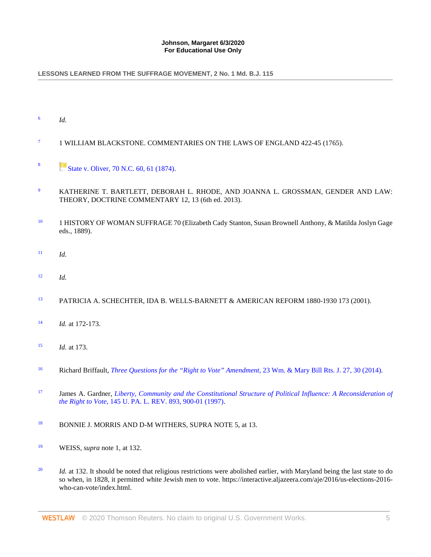# LESSONS LEARNED FROM THE SUFFRAGE MOVEMENT, 2 No. 1 Md. B.J. 115

- <span id="page-5-0"></span>[6](#page-1-6) *Id.*
- <span id="page-5-1"></span><sup>[7](#page-1-7)</sup> 1 WILLIAM BLACKSTONE. COMMENTARIES ON THE LAWS OF ENGLAND 422-45 (1765).
- <span id="page-5-2"></span>[8](#page-2-0) [State v. Oliver, 70 N.C. 60, 61 \(1874\).](http://www.westlaw.com/Link/Document/FullText?findType=Y&serNum=1874004866&pubNum=0000572&originatingDoc=I962097359c0111eabea3f0dc9fb69570&refType=RP&fi=co_pp_sp_572_61&originationContext=document&vr=3.0&rs=cblt1.0&transitionType=DocumentItem&contextData=(sc.Search)#co_pp_sp_572_61)
- <span id="page-5-3"></span>[9](#page-2-1) KATHERINE T. BARTLETT, DEBORAH L. RHODE, AND JOANNA L. GROSSMAN, GENDER AND LAW: THEORY, DOCTRINE COMMENTARY 12, 13 (6th ed. 2013).
- <span id="page-5-4"></span><sup>[10](#page-2-2)</sup> 1 HISTORY OF WOMAN SUFFRAGE 70 (Elizabeth Cady Stanton, Susan Brownell Anthony, & Matilda Joslyn Gage eds., 1889).
- <span id="page-5-5"></span>[11](#page-2-3) *Id.*
- <span id="page-5-6"></span>[12](#page-2-4) *Id.*
- <span id="page-5-7"></span>[13](#page-2-5) PATRICIA A. SCHECHTER, IDA B. WELLS-BARNETT & AMERICAN REFORM 1880-1930 173 (2001).
- <span id="page-5-8"></span>[14](#page-2-6) *Id.* at 172-173.
- <span id="page-5-9"></span>[15](#page-2-7) *Id.* at 173.
- <span id="page-5-10"></span>[16](#page-2-8) Richard Briffault, *[Three Questions for the "Right to Vote" Amendment](http://www.westlaw.com/Link/Document/FullText?findType=Y&serNum=0418128206&pubNum=0101700&originatingDoc=I962097359c0111eabea3f0dc9fb69570&refType=LR&fi=co_pp_sp_101700_30&originationContext=document&vr=3.0&rs=cblt1.0&transitionType=DocumentItem&contextData=(sc.Search)#co_pp_sp_101700_30)*, 23 Wm. & Mary Bill Rts. J. 27, 30 (2014).
- <span id="page-5-11"></span>[17](#page-2-9) James A. Gardner, *[Liberty, Community and the Constitutional Structure of Political Influence: A Reconsideration of](http://www.westlaw.com/Link/Document/FullText?findType=Y&serNum=0107938798&pubNum=0001268&originatingDoc=I962097359c0111eabea3f0dc9fb69570&refType=LR&fi=co_pp_sp_1268_900&originationContext=document&vr=3.0&rs=cblt1.0&transitionType=DocumentItem&contextData=(sc.Search)#co_pp_sp_1268_900)  the Right to Vote*[, 145 U. PA. L. REV. 893, 900-01 \(1997\).](http://www.westlaw.com/Link/Document/FullText?findType=Y&serNum=0107938798&pubNum=0001268&originatingDoc=I962097359c0111eabea3f0dc9fb69570&refType=LR&fi=co_pp_sp_1268_900&originationContext=document&vr=3.0&rs=cblt1.0&transitionType=DocumentItem&contextData=(sc.Search)#co_pp_sp_1268_900)
- <span id="page-5-12"></span>[18](#page-2-10) BONNIE J. MORRIS AND D-M WITHERS, SUPRA NOTE 5, at 13.
- <span id="page-5-13"></span>[19](#page-2-11) WEISS, *supra* note 1, at 132.
- <span id="page-5-14"></span><sup>[20](#page-2-12)</sup> *Id.* at 132. It should be noted that religious restrictions were abolished earlier, with Maryland being the last state to do so when, in 1828, it permitted white Jewish men to vote. https://interactive.aljazeera.com/aje/2016/us-elections-2016 who-can-vote/index.html.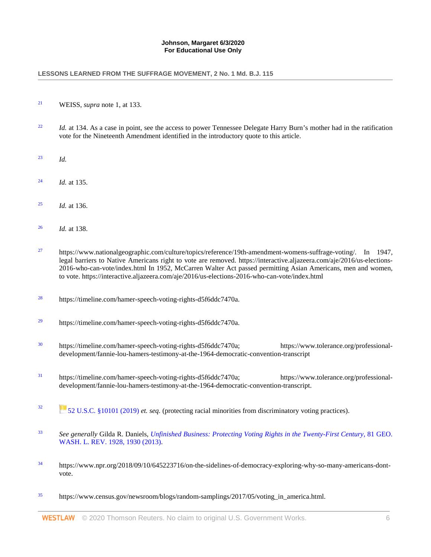#### LESSONS LEARNED FROM THE SUFFRAGE MOVEMENT, 2 No. 1 Md. B.J. 115

- <span id="page-6-0"></span>[21](#page-2-13) WEISS, *supra* note 1, at 133.
- <span id="page-6-1"></span><sup>[22](#page-2-14)</sup> *Id.* at 134. As a case in point, see the access to power Tennessee Delegate Harry Burn's mother had in the ratification vote for the Nineteenth Amendment identified in the introductory quote to this article.
- <span id="page-6-2"></span>[23](#page-2-15) *Id.*
- <span id="page-6-3"></span>[24](#page-2-16) *Id.* at 135.
- <span id="page-6-4"></span>[25](#page-2-17) *Id.* at 136.
- <span id="page-6-5"></span>[26](#page-3-0) *Id.* at 138.
- <span id="page-6-6"></span><sup>[27](#page-3-1)</sup> https://www.nationalgeographic.com/culture/topics/reference/19th-amendment-womens-suffrage-voting/. In 1947, legal barriers to Native Americans right to vote are removed. https://interactive.aljazeera.com/aje/2016/us-elections-2016-who-can-vote/index.html In 1952, McCarren Walter Act passed permitting Asian Americans, men and women, to vote. https://interactive.aljazeera.com/aje/2016/us-elections-2016-who-can-vote/index.html
- <span id="page-6-7"></span>[28](#page-3-2) https://timeline.com/hamer-speech-voting-rights-d5f6ddc7470a.
- <span id="page-6-8"></span><sup>[29](#page-3-3)</sup> https://timeline.com/hamer-speech-voting-rights-d5f6ddc7470a.
- <span id="page-6-9"></span>[30](#page-3-4) https://timeline.com/hamer-speech-voting-rights-d5f6ddc7470a; https://www.tolerance.org/professionaldevelopment/fannie-lou-hamers-testimony-at-the-1964-democratic-convention-transcript
- <span id="page-6-10"></span>[31](#page-3-5) https://timeline.com/hamer-speech-voting-rights-d5f6ddc7470a; https://www.tolerance.org/professionaldevelopment/fannie-lou-hamers-testimony-at-the-1964-democratic-convention-transcript.
- <span id="page-6-11"></span>[32](#page-3-6) [52 U.S.C. §10101 \(2019\)](http://www.westlaw.com/Link/Document/FullText?findType=L&pubNum=1000546&cite=52USCAS10101&originatingDoc=I962097359c0111eabea3f0dc9fb69570&refType=LQ&originationContext=document&vr=3.0&rs=cblt1.0&transitionType=DocumentItem&contextData=(sc.Search)) *et. seq.* (protecting racial minorities from discriminatory voting practices).
- <span id="page-6-12"></span>[33](#page-3-7) *See generally* Gilda R. Daniels, *[Unfinished Business: Protecting Voting Rights in the Twenty-First Century](http://www.westlaw.com/Link/Document/FullText?findType=Y&serNum=0397703029&pubNum=0001147&originatingDoc=I962097359c0111eabea3f0dc9fb69570&refType=LR&fi=co_pp_sp_1147_1930&originationContext=document&vr=3.0&rs=cblt1.0&transitionType=DocumentItem&contextData=(sc.Search)#co_pp_sp_1147_1930)*, 81 GEO. [WASH. L. REV. 1928, 1930 \(2013\).](http://www.westlaw.com/Link/Document/FullText?findType=Y&serNum=0397703029&pubNum=0001147&originatingDoc=I962097359c0111eabea3f0dc9fb69570&refType=LR&fi=co_pp_sp_1147_1930&originationContext=document&vr=3.0&rs=cblt1.0&transitionType=DocumentItem&contextData=(sc.Search)#co_pp_sp_1147_1930)
- <span id="page-6-13"></span>[34](#page-3-8) https://www.npr.org/2018/09/10/645223716/on-the-sidelines-of-democracy-exploring-why-so-many-americans-dontvote.
- <span id="page-6-14"></span><sup>[35](#page-3-9)</sup> https://www.census.gov/newsroom/blogs/random-samplings/2017/05/voting in america.html.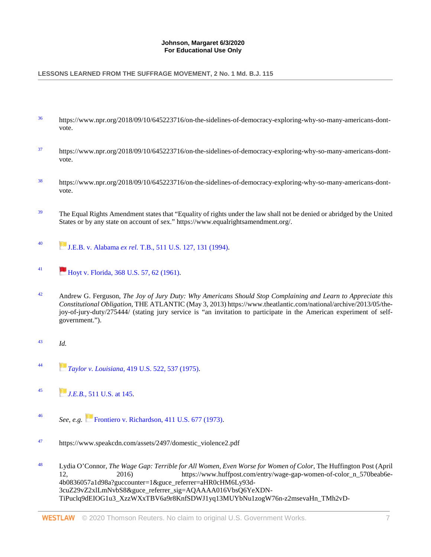# LESSONS LEARNED FROM THE SUFFRAGE MOVEMENT, 2 No. 1 Md. B.J. 115

- <span id="page-7-0"></span>[36](#page-3-10) https://www.npr.org/2018/09/10/645223716/on-the-sidelines-of-democracy-exploring-why-so-many-americans-dontvote.
- <span id="page-7-1"></span>[37](#page-3-11) https://www.npr.org/2018/09/10/645223716/on-the-sidelines-of-democracy-exploring-why-so-many-americans-dontvote.
- <span id="page-7-2"></span>[38](#page-3-12) https://www.npr.org/2018/09/10/645223716/on-the-sidelines-of-democracy-exploring-why-so-many-americans-dontvote.
- <span id="page-7-3"></span><sup>[39](#page-3-13)</sup> The Equal Rights Amendment states that "Equality of rights under the law shall not be denied or abridged by the United States or by any state on account of sex." https://www.equalrightsamendment.org/.
- <span id="page-7-4"></span>[40](#page-3-14) [J](https://1.next.westlaw.com/Link/RelatedInformation/Flag?documentGuid=Ic31409819c4f11d9bdd1cfdd544ca3a4&transitionType=InlineKeyCiteFlags&originationContext=docHeaderFlag&Rank=0&contextData=(sc.Search)).E.B. v. Alabama *ex rel.* [T.B., 511 U.S. 127, 131 \(1994\).](http://www.westlaw.com/Link/Document/FullText?findType=Y&serNum=1994086673&pubNum=0000780&originatingDoc=I962097359c0111eabea3f0dc9fb69570&refType=RP&fi=co_pp_sp_780_131&originationContext=document&vr=3.0&rs=cblt1.0&transitionType=DocumentItem&contextData=(sc.Search)#co_pp_sp_780_131)
- <span id="page-7-5"></span>[41](#page-3-15) [Hoyt v. Florida, 368 U.S. 57, 62 \(1961\).](http://www.westlaw.com/Link/Document/FullText?findType=Y&serNum=1961125550&pubNum=0000780&originatingDoc=I962097359c0111eabea3f0dc9fb69570&refType=RP&fi=co_pp_sp_780_62&originationContext=document&vr=3.0&rs=cblt1.0&transitionType=DocumentItem&contextData=(sc.Search)#co_pp_sp_780_62)
- <span id="page-7-6"></span>[42](#page-3-16) Andrew G. Ferguson, *The Joy of Jury Duty: Why Americans Should Stop Complaining and Learn to Appreciate this Constitutional Obligation*, THE ATLANTIC (May 3, 2013) https://www.theatlantic.com/national/archive/2013/05/thejoy-of-jury-duty/275444/ (stating jury service is "an invitation to participate in the American experiment of selfgovernment.").
- <span id="page-7-7"></span>[43](#page-3-17) *Id.*
- <span id="page-7-8"></span>[44](#page-3-18) *[T](https://1.next.westlaw.com/Link/RelatedInformation/Flag?documentGuid=I98bc39b59c1c11d9bc61beebb95be672&transitionType=InlineKeyCiteFlags&originationContext=docHeaderFlag&Rank=0&contextData=(sc.Search))aylor v. Louisiana*[, 419 U.S. 522, 537 \(1975\).](http://www.westlaw.com/Link/Document/FullText?findType=Y&serNum=1975129717&pubNum=0000780&originatingDoc=I962097359c0111eabea3f0dc9fb69570&refType=RP&fi=co_pp_sp_780_537&originationContext=document&vr=3.0&rs=cblt1.0&transitionType=DocumentItem&contextData=(sc.Search)#co_pp_sp_780_537)
- <span id="page-7-9"></span>[45](#page-3-19) *<i>[J](https://1.next.westlaw.com/Link/RelatedInformation/Flag?documentGuid=Ic31409819c4f11d9bdd1cfdd544ca3a4&transitionType=InlineKeyCiteFlags&originationContext=docHeaderFlag&Rank=0&contextData=(sc.Search)).E.B.*[, 511 U.S. at 145.](http://www.westlaw.com/Link/Document/FullText?findType=Y&serNum=1994086673&pubNum=0000780&originatingDoc=I962097359c0111eabea3f0dc9fb69570&refType=RP&fi=co_pp_sp_780_145&originationContext=document&vr=3.0&rs=cblt1.0&transitionType=DocumentItem&contextData=(sc.Search)#co_pp_sp_780_145)
- <span id="page-7-10"></span>[46](#page-3-20) *See, e.g.* [Frontiero v. Richardson, 411 U.S. 677 \(1973\).](http://www.westlaw.com/Link/Document/FullText?findType=Y&serNum=1973126388&pubNum=0000780&originatingDoc=I962097359c0111eabea3f0dc9fb69570&refType=RP&originationContext=document&vr=3.0&rs=cblt1.0&transitionType=DocumentItem&contextData=(sc.Search))
- <span id="page-7-11"></span>[47](#page-4-6) https://www.speakcdn.com/assets/2497/domestic\_violence2.pdf
- <span id="page-7-12"></span>[48](#page-4-7) Lydia O'Connor, *The Wage Gap: Terrible for All Women, Even Worse for Women of Color*, The Huffington Post (April 12, 2016) https://www.huffpost.com/entry/wage-gap-women-of-color\_n\_570beab6e-4b0836057a1d98a?guccounter=1&guce\_referrer=aHR0cHM6Ly93d-3cuZ29vZ2xlLmNvbS8&guce\_referrer\_sig=AQAAAA016VbsQ6YeXDN-TiPuclq9dEIOG1u3\_XzzWXxTBV6a9r8KnfSDWJ1yq13MUYbNu1zogW76n-z2msevaHn\_TMh2vD-